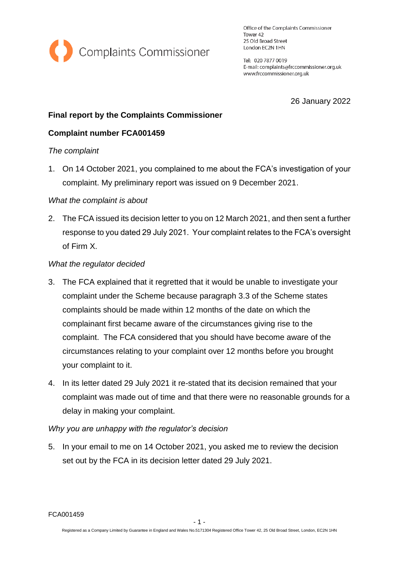

Office of the Complaints Commissioner Tower 42 25 Old Broad Street London EC2N 1HN

Tel: 020 7877 0019 E-mail: complaints@frccommissioner.org.uk www.frccommissioner.org.uk

26 January 2022

## **Final report by the Complaints Commissioner**

# **Complaint number FCA001459**

## *The complaint*

1. On 14 October 2021, you complained to me about the FCA's investigation of your complaint. My preliminary report was issued on 9 December 2021.

## *What the complaint is about*

2. The FCA issued its decision letter to you on 12 March 2021, and then sent a further response to you dated 29 July 2021. Your complaint relates to the FCA's oversight of Firm X.

## *What the regulator decided*

- 3. The FCA explained that it regretted that it would be unable to investigate your complaint under the Scheme because paragraph 3.3 of the Scheme states complaints should be made within 12 months of the date on which the complainant first became aware of the circumstances giving rise to the complaint. The FCA considered that you should have become aware of the circumstances relating to your complaint over 12 months before you brought your complaint to it.
- 4. In its letter dated 29 July 2021 it re-stated that its decision remained that your complaint was made out of time and that there were no reasonable grounds for a delay in making your complaint.

## *Why you are unhappy with the regulator's decision*

5. In your email to me on 14 October 2021, you asked me to review the decision set out by the FCA in its decision letter dated 29 July 2021.

FCA001459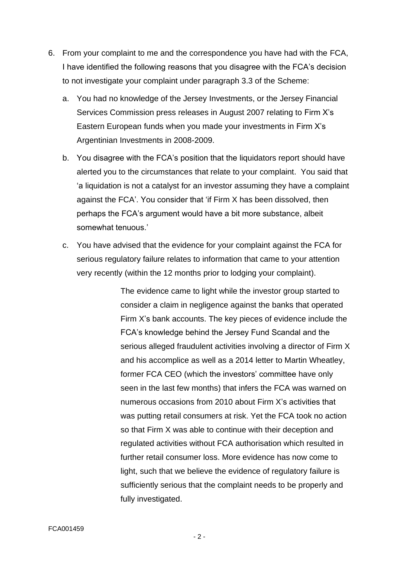- 6. From your complaint to me and the correspondence you have had with the FCA, I have identified the following reasons that you disagree with the FCA's decision to not investigate your complaint under paragraph 3.3 of the Scheme:
	- a. You had no knowledge of the Jersey Investments, or the Jersey Financial Services Commission press releases in August 2007 relating to Firm X's Eastern European funds when you made your investments in Firm X's Argentinian Investments in 2008-2009.
	- b. You disagree with the FCA's position that the liquidators report should have alerted you to the circumstances that relate to your complaint. You said that 'a liquidation is not a catalyst for an investor assuming they have a complaint against the FCA'. You consider that 'if Firm X has been dissolved, then perhaps the FCA's argument would have a bit more substance, albeit somewhat tenuous.'
	- c. You have advised that the evidence for your complaint against the FCA for serious regulatory failure relates to information that came to your attention very recently (within the 12 months prior to lodging your complaint).

The evidence came to light while the investor group started to consider a claim in negligence against the banks that operated Firm X's bank accounts. The key pieces of evidence include the FCA's knowledge behind the Jersey Fund Scandal and the serious alleged fraudulent activities involving a director of Firm X and his accomplice as well as a 2014 letter to Martin Wheatley, former FCA CEO (which the investors' committee have only seen in the last few months) that infers the FCA was warned on numerous occasions from 2010 about Firm X's activities that was putting retail consumers at risk. Yet the FCA took no action so that Firm X was able to continue with their deception and regulated activities without FCA authorisation which resulted in further retail consumer loss. More evidence has now come to light, such that we believe the evidence of regulatory failure is sufficiently serious that the complaint needs to be properly and fully investigated.

- 2 -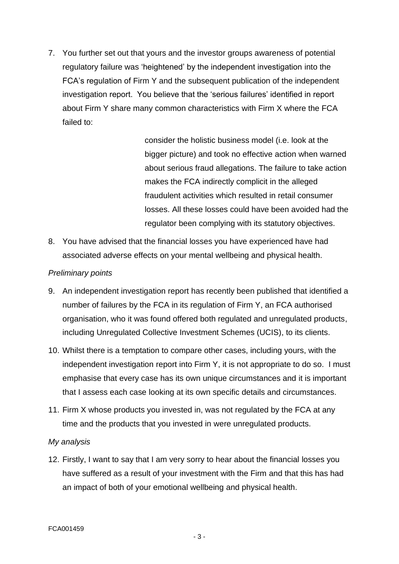7. You further set out that yours and the investor groups awareness of potential regulatory failure was 'heightened' by the independent investigation into the FCA's regulation of Firm Y and the subsequent publication of the independent investigation report. You believe that the 'serious failures' identified in report about Firm Y share many common characteristics with Firm X where the FCA failed to:

> consider the holistic business model (i.e. look at the bigger picture) and took no effective action when warned about serious fraud allegations. The failure to take action makes the FCA indirectly complicit in the alleged fraudulent activities which resulted in retail consumer losses. All these losses could have been avoided had the regulator been complying with its statutory objectives.

8. You have advised that the financial losses you have experienced have had associated adverse effects on your mental wellbeing and physical health.

## *Preliminary points*

- 9. An independent investigation report has recently been published that identified a number of failures by the FCA in its regulation of Firm Y, an FCA authorised organisation, who it was found offered both regulated and unregulated products, including Unregulated Collective Investment Schemes (UCIS), to its clients.
- 10. Whilst there is a temptation to compare other cases, including yours, with the independent investigation report into Firm Y, it is not appropriate to do so. I must emphasise that every case has its own unique circumstances and it is important that I assess each case looking at its own specific details and circumstances.
- 11. Firm X whose products you invested in, was not regulated by the FCA at any time and the products that you invested in were unregulated products.

## *My analysis*

12. Firstly, I want to say that I am very sorry to hear about the financial losses you have suffered as a result of your investment with the Firm and that this has had an impact of both of your emotional wellbeing and physical health.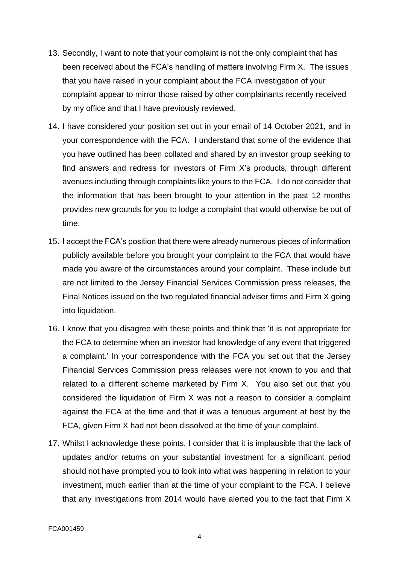- 13. Secondly, I want to note that your complaint is not the only complaint that has been received about the FCA's handling of matters involving Firm X. The issues that you have raised in your complaint about the FCA investigation of your complaint appear to mirror those raised by other complainants recently received by my office and that I have previously reviewed.
- 14. I have considered your position set out in your email of 14 October 2021, and in your correspondence with the FCA. I understand that some of the evidence that you have outlined has been collated and shared by an investor group seeking to find answers and redress for investors of Firm X's products, through different avenues including through complaints like yours to the FCA. I do not consider that the information that has been brought to your attention in the past 12 months provides new grounds for you to lodge a complaint that would otherwise be out of time.
- 15. I accept the FCA's position that there were already numerous pieces of information publicly available before you brought your complaint to the FCA that would have made you aware of the circumstances around your complaint. These include but are not limited to the Jersey Financial Services Commission press releases, the Final Notices issued on the two regulated financial adviser firms and Firm X going into liquidation.
- 16. I know that you disagree with these points and think that 'it is not appropriate for the FCA to determine when an investor had knowledge of any event that triggered a complaint.' In your correspondence with the FCA you set out that the Jersey Financial Services Commission press releases were not known to you and that related to a different scheme marketed by Firm X. You also set out that you considered the liquidation of Firm X was not a reason to consider a complaint against the FCA at the time and that it was a tenuous argument at best by the FCA, given Firm X had not been dissolved at the time of your complaint.
- 17. Whilst I acknowledge these points, I consider that it is implausible that the lack of updates and/or returns on your substantial investment for a significant period should not have prompted you to look into what was happening in relation to your investment, much earlier than at the time of your complaint to the FCA. I believe that any investigations from 2014 would have alerted you to the fact that Firm X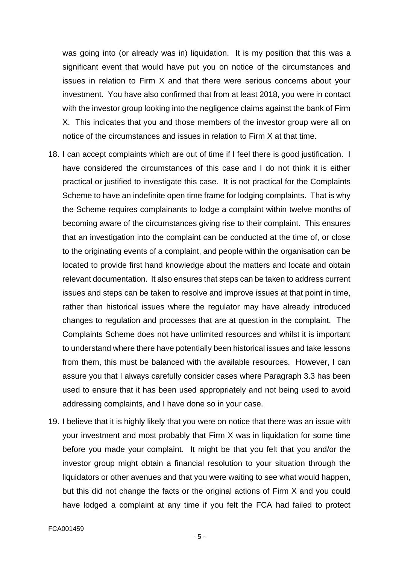was going into (or already was in) liquidation. It is my position that this was a significant event that would have put you on notice of the circumstances and issues in relation to Firm X and that there were serious concerns about your investment. You have also confirmed that from at least 2018, you were in contact with the investor group looking into the negligence claims against the bank of Firm X. This indicates that you and those members of the investor group were all on notice of the circumstances and issues in relation to Firm X at that time.

- 18. I can accept complaints which are out of time if I feel there is good justification. I have considered the circumstances of this case and I do not think it is either practical or justified to investigate this case. It is not practical for the Complaints Scheme to have an indefinite open time frame for lodging complaints. That is why the Scheme requires complainants to lodge a complaint within twelve months of becoming aware of the circumstances giving rise to their complaint. This ensures that an investigation into the complaint can be conducted at the time of, or close to the originating events of a complaint, and people within the organisation can be located to provide first hand knowledge about the matters and locate and obtain relevant documentation. It also ensures that steps can be taken to address current issues and steps can be taken to resolve and improve issues at that point in time, rather than historical issues where the regulator may have already introduced changes to regulation and processes that are at question in the complaint. The Complaints Scheme does not have unlimited resources and whilst it is important to understand where there have potentially been historical issues and take lessons from them, this must be balanced with the available resources. However, I can assure you that I always carefully consider cases where Paragraph 3.3 has been used to ensure that it has been used appropriately and not being used to avoid addressing complaints, and I have done so in your case.
- 19. I believe that it is highly likely that you were on notice that there was an issue with your investment and most probably that Firm X was in liquidation for some time before you made your complaint. It might be that you felt that you and/or the investor group might obtain a financial resolution to your situation through the liquidators or other avenues and that you were waiting to see what would happen, but this did not change the facts or the original actions of Firm X and you could have lodged a complaint at any time if you felt the FCA had failed to protect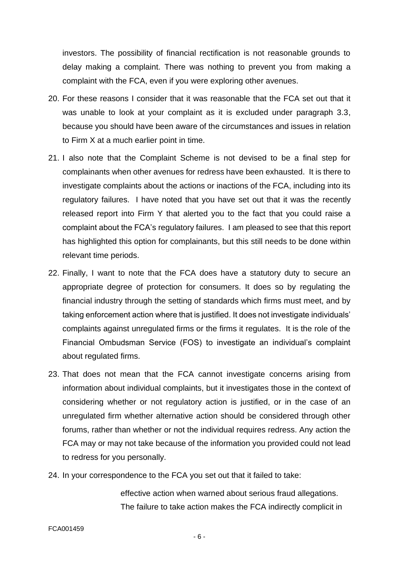investors. The possibility of financial rectification is not reasonable grounds to delay making a complaint. There was nothing to prevent you from making a complaint with the FCA, even if you were exploring other avenues.

- 20. For these reasons I consider that it was reasonable that the FCA set out that it was unable to look at your complaint as it is excluded under paragraph 3.3, because you should have been aware of the circumstances and issues in relation to Firm X at a much earlier point in time.
- 21. I also note that the Complaint Scheme is not devised to be a final step for complainants when other avenues for redress have been exhausted. It is there to investigate complaints about the actions or inactions of the FCA, including into its regulatory failures. I have noted that you have set out that it was the recently released report into Firm Y that alerted you to the fact that you could raise a complaint about the FCA's regulatory failures. I am pleased to see that this report has highlighted this option for complainants, but this still needs to be done within relevant time periods.
- 22. Finally, I want to note that the FCA does have a statutory duty to secure an appropriate degree of protection for consumers. It does so by regulating the financial industry through the setting of standards which firms must meet, and by taking enforcement action where that is justified. It does not investigate individuals' complaints against unregulated firms or the firms it regulates. It is the role of the Financial Ombudsman Service (FOS) to investigate an individual's complaint about regulated firms.
- 23. That does not mean that the FCA cannot investigate concerns arising from information about individual complaints, but it investigates those in the context of considering whether or not regulatory action is justified, or in the case of an unregulated firm whether alternative action should be considered through other forums, rather than whether or not the individual requires redress. Any action the FCA may or may not take because of the information you provided could not lead to redress for you personally.
- 24. In your correspondence to the FCA you set out that it failed to take:

effective action when warned about serious fraud allegations. The failure to take action makes the FCA indirectly complicit in

#### FCA001459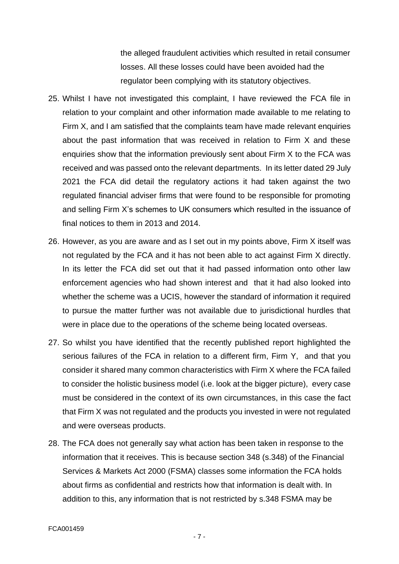the alleged fraudulent activities which resulted in retail consumer losses. All these losses could have been avoided had the regulator been complying with its statutory objectives.

- 25. Whilst I have not investigated this complaint, I have reviewed the FCA file in relation to your complaint and other information made available to me relating to Firm X, and I am satisfied that the complaints team have made relevant enquiries about the past information that was received in relation to Firm X and these enquiries show that the information previously sent about Firm X to the FCA was received and was passed onto the relevant departments. In its letter dated 29 July 2021 the FCA did detail the regulatory actions it had taken against the two regulated financial adviser firms that were found to be responsible for promoting and selling Firm X's schemes to UK consumers which resulted in the issuance of final notices to them in 2013 and 2014.
- 26. However, as you are aware and as I set out in my points above, Firm X itself was not regulated by the FCA and it has not been able to act against Firm X directly. In its letter the FCA did set out that it had passed information onto other law enforcement agencies who had shown interest and that it had also looked into whether the scheme was a UCIS, however the standard of information it required to pursue the matter further was not available due to jurisdictional hurdles that were in place due to the operations of the scheme being located overseas.
- 27. So whilst you have identified that the recently published report highlighted the serious failures of the FCA in relation to a different firm, Firm Y, and that you consider it shared many common characteristics with Firm X where the FCA failed to consider the holistic business model (i.e. look at the bigger picture), every case must be considered in the context of its own circumstances, in this case the fact that Firm X was not regulated and the products you invested in were not regulated and were overseas products.
- 28. The FCA does not generally say what action has been taken in response to the information that it receives. This is because section 348 (s.348) of the Financial Services & Markets Act 2000 (FSMA) classes some information the FCA holds about firms as confidential and restricts how that information is dealt with. In addition to this, any information that is not restricted by s.348 FSMA may be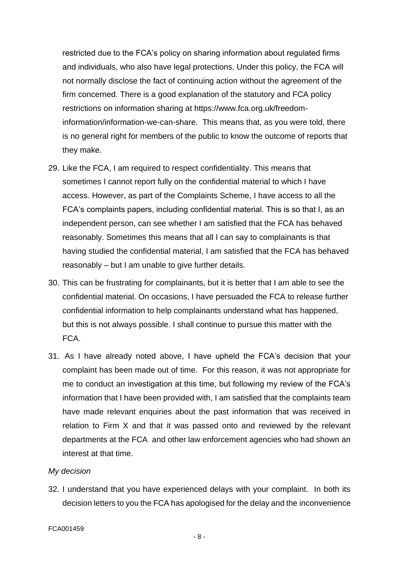restricted due to the FCA's policy on sharing information about regulated firms and individuals, who also have legal protections. Under this policy, the FCA will not normally disclose the fact of continuing action without the agreement of the firm concerned. There is a good explanation of the statutory and FCA policy restrictions on information sharing at https://www.fca.org.uk/freedominformation/information-we-can-share. This means that, as you were told, there is no general right for members of the public to know the outcome of reports that they make.

- 29. Like the FCA, I am required to respect confidentiality. This means that sometimes I cannot report fully on the confidential material to which I have access. However, as part of the Complaints Scheme, I have access to all the FCA's complaints papers, including confidential material. This is so that I, as an independent person, can see whether I am satisfied that the FCA has behaved reasonably. Sometimes this means that all I can say to complainants is that having studied the confidential material, I am satisfied that the FCA has behaved reasonably – but I am unable to give further details.
- 30. This can be frustrating for complainants, but it is better that I am able to see the confidential material. On occasions, I have persuaded the FCA to release further confidential information to help complainants understand what has happened, but this is not always possible. I shall continue to pursue this matter with the FCA.
- 31. As I have already noted above, I have upheld the FCA's decision that your complaint has been made out of time. For this reason, it was not appropriate for me to conduct an investigation at this time, but following my review of the FCA's information that I have been provided with, I am satisfied that the complaints team have made relevant enquiries about the past information that was received in relation to Firm X and that it was passed onto and reviewed by the relevant departments at the FCA and other law enforcement agencies who had shown an interest at that time.

#### *My decision*

32. I understand that you have experienced delays with your complaint. In both its decision letters to you the FCA has apologised for the delay and the inconvenience